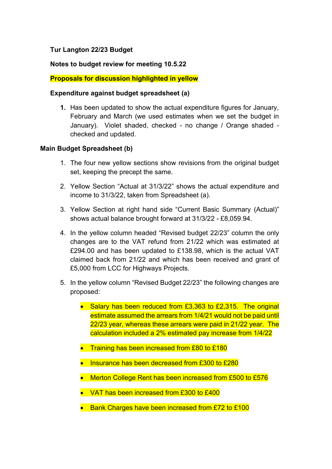# **Tur Langton 22/23 Budget**

### **Notes to budget review for meeting 10.5.22**

## **Proposals for discussion highlighted in yellow**

#### **Expenditure against budget spreadsheet (a)**

**1.** Has been updated to show the actual expenditure figures for January, February and March (we used estimates when we set the budget in January). Violet shaded, checked - no change / Orange shaded checked and updated.

#### **Main Budget Spreadsheet (b)**

- 1. The four new yellow sections show revisions from the original budget set, keeping the precept the same.
- 2. Yellow Section "Actual at 31/3/22" shows the actual expenditure and income to 31/3/22, taken from Spreadsheet (a).
- 3. Yellow Section at right hand side "Current Basic Summary (Actual)" shows actual balance brought forward at 31/3/22 - £8,059.94.
- 4. In the yellow column headed "Revised budget 22/23" column the only changes are to the VAT refund from 21/22 which was estimated at £294.00 and has been updated to £138.98, which is the actual VAT claimed back from 21/22 and which has been received and grant of £5,000 from LCC for Highways Projects.
- 5. In the yellow column "Revised Budget 22/23" the following changes are proposed:
	- Salary has been reduced from £3,363 to £2,315. The original estimate assumed the arrears from 1/4/21 would not be paid until 22/23 year, whereas these arrears were paid in 21/22 year. The calculation included a 2% estimated pay increase from 1/4/22
	- **•** Training has been increased from £80 to £180
	- Insurance has been decreased from £300 to £280
	- Merton College Rent has been increased from £500 to £576
	- VAT has been increased from £300 to £400
	- Bank Charges have been increased from £72 to £100